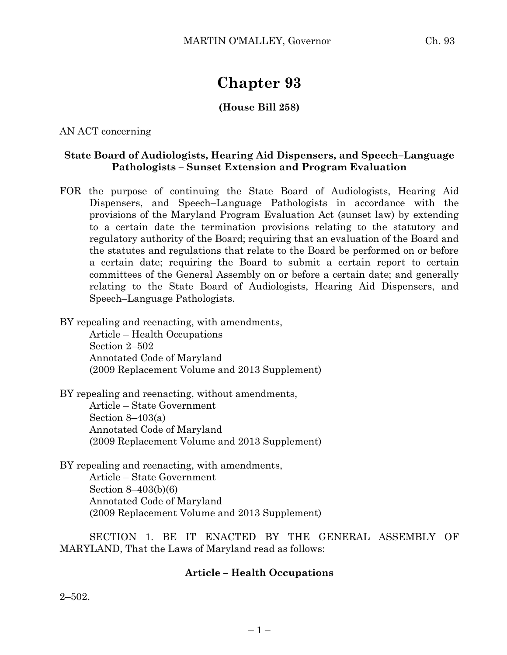# **Chapter 93**

## **(House Bill 258)**

AN ACT concerning

### **State Board of Audiologists, Hearing Aid Dispensers, and Speech–Language Pathologists – Sunset Extension and Program Evaluation**

FOR the purpose of continuing the State Board of Audiologists, Hearing Aid Dispensers, and Speech–Language Pathologists in accordance with the provisions of the Maryland Program Evaluation Act (sunset law) by extending to a certain date the termination provisions relating to the statutory and regulatory authority of the Board; requiring that an evaluation of the Board and the statutes and regulations that relate to the Board be performed on or before a certain date; requiring the Board to submit a certain report to certain committees of the General Assembly on or before a certain date; and generally relating to the State Board of Audiologists, Hearing Aid Dispensers, and Speech–Language Pathologists.

BY repealing and reenacting, with amendments,

Article – Health Occupations Section 2–502 Annotated Code of Maryland (2009 Replacement Volume and 2013 Supplement)

BY repealing and reenacting, without amendments, Article – State Government Section  $8-403(a)$ Annotated Code of Maryland (2009 Replacement Volume and 2013 Supplement)

BY repealing and reenacting, with amendments, Article – State Government Section 8–403(b)(6) Annotated Code of Maryland (2009 Replacement Volume and 2013 Supplement)

SECTION 1. BE IT ENACTED BY THE GENERAL ASSEMBLY OF MARYLAND, That the Laws of Maryland read as follows:

## **Article – Health Occupations**

2–502.